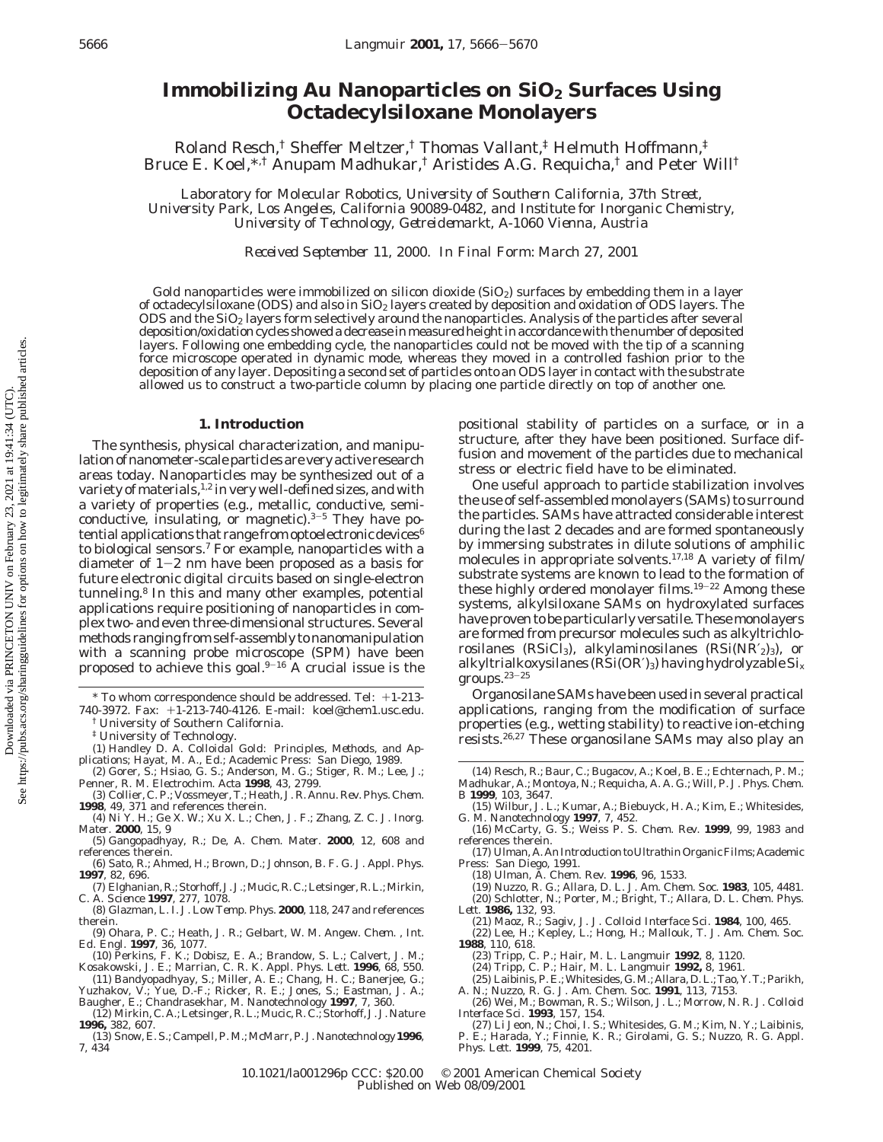# **Immobilizing Au Nanoparticles on SiO<sub>2</sub> Surfaces Using Octadecylsiloxane Monolayers**

Roland Resch,† Sheffer Meltzer,† Thomas Vallant,‡ Helmuth Hoffmann,‡ Bruce E. Koel,\*,† Anupam Madhukar,† Aristides A.G. Requicha,† and Peter Will†

*Laboratory for Molecular Robotics, University of Southern California, 37th Street, University Park, Los Angeles, California 90089-0482, and Institute for Inorganic Chemistry, University of Technology, Getreidemarkt, A-1060 Vienna, Austria*

*Received September 11, 2000. In Final Form: March 27, 2001*

Gold nanoparticles were immobilized on silicon dioxide  $(SiO<sub>2</sub>)$  surfaces by embedding them in a layer of octadecylsiloxane (ODS) and also in  $SiO<sub>2</sub>$  layers created by deposition and oxidation of ODS layers. The ODS and the SiO2 layers form selectively around the nanoparticles. Analysis of the particles after several deposition/oxidation cycles showed a decrease in measured height in accordance with the number of deposited layers. Following one embedding cycle, the nanoparticles could not be moved with the tip of a scanning force microscope operated in dynamic mode, whereas they moved in a controlled fashion prior to the deposition of any layer. Depositing a second set of particles onto an ODS layer in contact with the substrate allowed us to construct a two-particle column by placing one particle directly on top of another one.

#### **1. Introduction**

The synthesis, physical characterization, and manipulation of nanometer-scale particles are very active research areas today. Nanoparticles may be synthesized out of a variety of materials,  $1,2$  in very well-defined sizes, and with a variety of properties (e.g., metallic, conductive, semiconductive, insulating, or magnetic). $3-5$  They have potential applications that range from optoelectronic devices<sup>6</sup> to biological sensors.7 For example, nanoparticles with a diameter of  $1-2$  nm have been proposed as a basis for future electronic digital circuits based on single-electron tunneling.8 In this and many other examples, potential applications require positioning of nanoparticles in complex two- and even three-dimensional structures. Several methods ranging from self-assembly to nanomanipulation with a scanning probe microscope (SPM) have been proposed to achieve this goal. $9-16$  A crucial issue is the

- (1) Handley D. A. *Colloidal Gold: Principles, Methods, and Applications*; Hayat, M. A., Ed.; Academic Press: San Diego, 1989. (2) Gorer, S.; Hsiao, G. S.; Anderson, M. G.; Stiger, R. M.; Lee, J.;
- Penner, R. M. *Electrochim. Acta* **1998**, *43*, 2799.
- (3) Collier, C. P.; Vossmeyer, T.; Heath, J. R. *Annu. Rev. Phys. Chem.* **1998**, *49*, 371 and references therein.
- (4) Ni Y. H.; Ge X. W.; Xu X. L.; Chen, J. F.; Zhang, Z. C. *J. Inorg. Mater.* **2000**, *15*, 9
- (5) Gangopadhyay, R.; De, A. *Chem. Mater.* **2000**, *12*, 608 and references therein.
- (6) Sato, R.; Ahmed, H.; Brown, D.; Johnson, B. F. G. *J. Appl. Phys.* **1997**, *82*, 696.
- (7) Elghanian, R.; Storhoff, J. J.; Mucic, R. C.; Letsinger, R. L.; Mirkin, C. A. *Science* **1997**, *277*, 1078.
- (8) Glazman, L. I. *J. Low Temp. Phys.* **2000**, *118*, 247 and references therein.
- (9) Ohara, P. C.; Heath, J. R.; Gelbart, W. M. *Angew. Chem. , Int.*
- *Ed. Engl.* **1997**, 36, 1077.<br>
(10) Perkins, F. K.; Dobisz, E. A.; Brandow, S. L.; Calvert, J. M.;<br>
Kosakowski, J. E.; Marrian, C. R. K. *Appl. Phys. Lett.* **1996**, 68, 550.<br>
(11) Bandyopadhyay, S.; Miller, A. E.; Chang, H
- Baugher, E.; Chandrasekhar, M. *Nanotechnology* **1997**, *7*, 360.
- (12) Mirkin, C. A.; Letsinger, R. L.; Mucic, R. C.; Storhoff, J. J. *Nature* **1996,** *382*, 607.
- (13) Snow, E. S.; Campell, P. M.; McMarr, P. J. *Nanotechnology* **1996**, *7*, 434

positional stability of particles on a surface, or in a structure, after they have been positioned. Surface diffusion and movement of the particles due to mechanical stress or electric field have to be eliminated.

One useful approach to particle stabilization involves the use of self-assembled monolayers (SAMs) to surround the particles. SAMs have attracted considerable interest during the last 2 decades and are formed spontaneously by immersing substrates in dilute solutions of amphilic molecules in appropriate solvents.17,18 A variety of film/ substrate systems are known to lead to the formation of these highly ordered monolayer films.<sup>19-22</sup> Among these systems, alkylsiloxane SAMs on hydroxylated surfaces have proven to be particularly versatile. These monolayers are formed from precursor molecules such as alkyltrichlorosilanes (RSiCl<sub>3</sub>), alkylaminosilanes (RSi(NR $'_{2}$ )<sub>3</sub>), or alkyltrialkoxysilanes (RSi(OR′)3) having hydrolyzable Si*<sup>x</sup>* groups.23-<sup>25</sup>

Organosilane SAMs have been used in several practical applications, ranging from the modification of surface properties (e.g., wetting stability) to reactive ion-etching resists.26,27 These organosilane SAMs may also play an

- (15) Wilbur, J. L.; Kumar, A.; Biebuyck, H. A.; Kim, E.; Whitesides,
- G. M. *Nanotechnology* **1997**, *7*, 452. (16) McCarty, G. S.; Weiss P. S. *Chem. Rev.* **1999**, *99*, 1983 and references therein.
- (17) Ulman, A. *An Introduction to Ultrathin Organic Films*; Academic Press: San Diego, 1991.
	- (18) Ulman, A. *Chem. Rev.* **1996**, *96*, 1533.
- (19) Nuzzo, R. G.; Allara, D. L. *J. Am. Chem. Soc.* **1983**, *105*, 4481. (20) Schlotter, N.; Porter, M.; Bright, T.; Allara, D. L. *Chem. Phys. Lett.* **1986,** *132*, 93.
- 

(21) Maoz, R.; Sagiv, J. *J. Colloid Interface Sci.* **1984**, *100*, 465. (22) Lee, H.; Kepley, L.; Hong, H.; Mallouk, T. *J. Am. Chem. Soc.* **1988**, *110*, 618.

- 
- (23) Tripp, C. P.; Hair, M. L. *Langmuir* **1992**, *8*, 1120.<br>(24) Tripp, C. P.; Hair, M. L. *Langmuir* **1992,** *8*, 1961.<br>(25) Laibinis, P. E.;Whitesides, G. M.; Allara, D. L.; Tao, Y. T.; Parikh,
- A. N.; Nuzzo, R. G. *J. Am. Chem. Soc.* **1991**, *113*, 7153. (26) Wei, M.; Bowman, R. S.; Wilson, J. L.; Morrow, N. R. *J. Colloid*
- 
- *Interface Sci.* **1993**, *157*, 154. (27) Li Jeon, N.; Choi, I. S.; Whitesides, G. M.; Kim, N. Y.; Laibinis, P. E.; Harada, Y.; Finnie, K. R.; Girolami, G. S.; Nuzzo, R. G. *Appl. Phys. Lett.* **1999**, *75*, 4201.

10.1021/la001296p CCC: \$20.00 © 2001 American Chemical Society Published on Web 08/09/2001

<sup>\*</sup> To whom correspondence should be addressed. Tel: +1-213-

<sup>740-3972.</sup> Fax: +1-213-740-4126. E-mail: koel@chem1.usc.edu. University of Southern California.

<sup>‡</sup> University of Technology.

<sup>(14)</sup> Resch, R.; Baur, C.; Bugacov, A.; Koel, B. E.; Echternach, P. M.; Madhukar, A.; Montoya, N.; Requicha, A. A. G.; Will, P. *J. Phys. Chem. B* **1999**, *103*, 3647.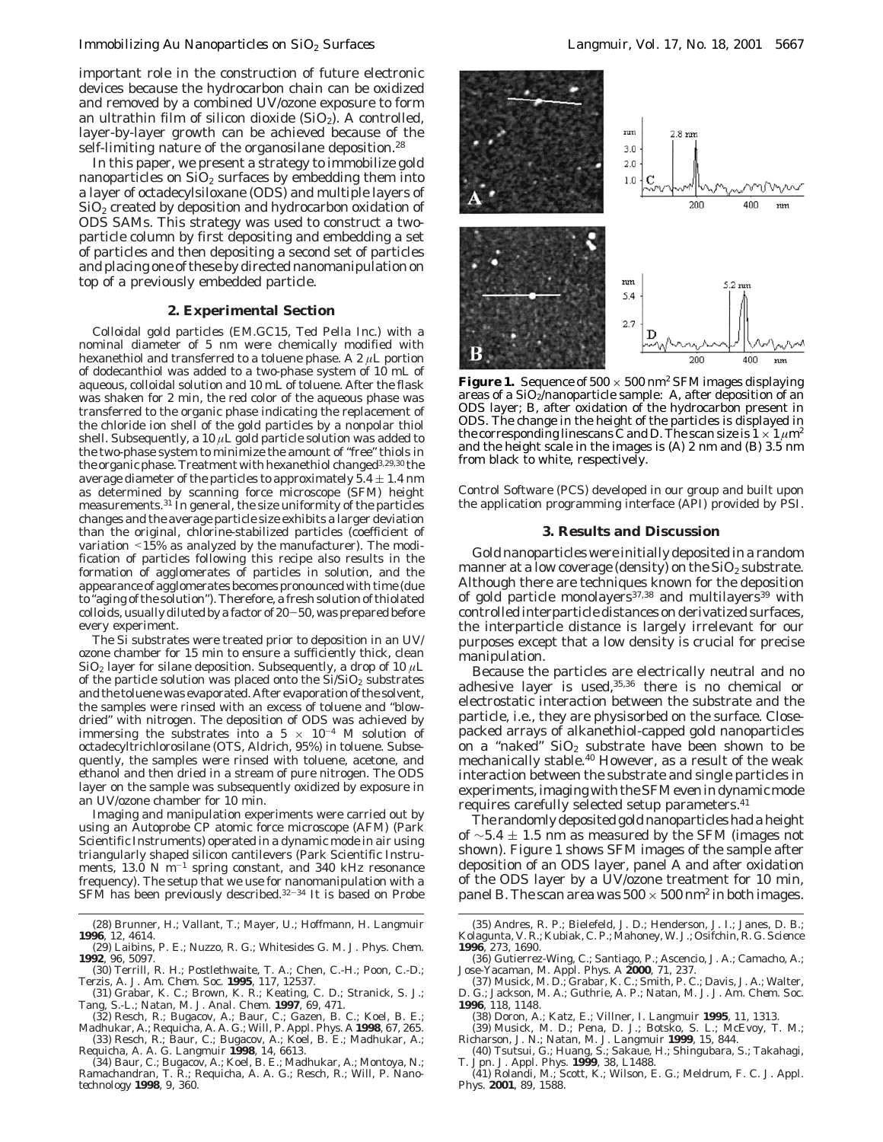## *Immobilizing Au Nanoparticles on SiO2 Surfaces Langmuir, Vol. 17, No. 18, 2001* 5667

important role in the construction of future electronic devices because the hydrocarbon chain can be oxidized and removed by a combined UV/ozone exposure to form an ultrathin film of silicon dioxide  $(SiO<sub>2</sub>)$ . A controlled, layer-by-layer growth can be achieved because of the self-limiting nature of the organosilane deposition.<sup>28</sup>

In this paper, we present a strategy to immobilize gold nanoparticles on  $SiO<sub>2</sub>$  surfaces by embedding them into a layer of octadecylsiloxane (ODS) and multiple layers of  $SiO<sub>2</sub>$  created by deposition and hydrocarbon oxidation of ODS SAMs. This strategy was used to construct a twoparticle column by first depositing and embedding a set of particles and then depositing a second set of particles and placing one of these by directed nanomanipulation on top of a previously embedded particle.

#### **2. Experimental Section**

Colloidal gold particles (EM.GC15, Ted Pella Inc.) with a nominal diameter of 5 nm were chemically modified with hexanethiol and transferred to a toluene phase. A 2 *µ*L portion of dodecanthiol was added to a two-phase system of 10 mL of aqueous, colloidal solution and 10 mL of toluene. After the flask was shaken for 2 min, the red color of the aqueous phase was transferred to the organic phase indicating the replacement of the chloride ion shell of the gold particles by a nonpolar thiol shell. Subsequently, a 10  $\mu$ L gold particle solution was added to the two-phase system to minimize the amount of "free" thiols in the organic phase. Treatment with hexanethiol changed $^{3,29,30}$  the average diameter of the particles to approximately  $5.4 \pm 1.4$  nm as determined by scanning force microscope (SFM) height measurements.31 In general, the size uniformity of the particles changes and the average particle size exhibits a larger deviation than the original, chlorine-stabilized particles (coefficient of variation <15% as analyzed by the manufacturer). The modification of particles following this recipe also results in the formation of agglomerates of particles in solution, and the appearance of agglomerates becomes pronounced with time (due to "aging of the solution"). Therefore, a fresh solution of thiolated colloids, usually diluted by a factor of 20-50, was prepared before every experiment.

The Si substrates were treated prior to deposition in an UV/ ozone chamber for 15 min to ensure a sufficiently thick, clean SiO<sub>2</sub> layer for silane deposition. Subsequently, a drop of 10  $\mu$ L of the particle solution was placed onto the  $Si/SiO<sub>2</sub>$  substrates and the toluene was evaporated. After evaporation of the solvent, the samples were rinsed with an excess of toluene and "blowdried" with nitrogen. The deposition of ODS was achieved by immersing the substrates into a  $5 \times 10^{-4}$  M solution of octadecyltrichlorosilane (OTS, Aldrich, 95%) in toluene. Subsequently, the samples were rinsed with toluene, acetone, and ethanol and then dried in a stream of pure nitrogen. The ODS layer on the sample was subsequently oxidized by exposure in an UV/ozone chamber for 10 min.

Imaging and manipulation experiments were carried out by using an Autoprobe CP atomic force microscope (AFM) (Park Scientific Instruments) operated in a dynamic mode in air using triangularly shaped silicon cantilevers (Park Scientific Instruments, 13.0 N  $m^{-1}$  spring constant, and 340 kHz resonance frequency). The setup that we use for nanomanipulation with a SFM has been previously described.32-<sup>34</sup> It is based on Probe

- Tang, S.-L.; Natan, M. J. *Anal. Chem.* **1997**, *69*, 471. (32) Resch, R.; Bugacov, A.; Baur, C.; Gazen, B. C.; Koel, B. E.;
- 

Madhukar, A.; Requicha, A. A. G.; Will, P. *Appl. Phys. A* **1998**, *67*, 265. (33) Resch, R.; Baur, C.; Bugacov, A.; Koel, B. E.; Madhukar, A.; Requicha, A. A. G. *Langmuir* **1998**, *14*, 6613.

(34) Baur, C.; Bugacov, A.; Koel, B. E.; Madhukar, A.; Montoya, N.; Ramachandran, T. R.; Requicha, A. A. G.; Resch, R.; Will, P. *Nano-technology* **1998**, *9*, 360.



**Figure 1.** Sequence of  $500 \times 500$  nm<sup>2</sup> SFM images displaying areas of a  $SiO<sub>2</sub>/nanoparticle sample: A, after deposition of an$ ODS layer; B, after oxidation of the hydrocarbon present in ODS. The change in the height of the particles is displayed in the corresponding linescans  $\tilde{C}$  and D. The scan size is  $1 \times 1 \mu m^2$ and the height scale in the images is (A) 2 nm and (B) 3.5 nm from black to white, respectively.

Control Software (PCS) developed in our group and built upon the application programming interface (API) provided by PSI.

### **3. Results and Discussion**

Gold nanoparticles were initially deposited in a random manner at a low coverage (density) on the  $SiO<sub>2</sub>$  substrate. Although there are techniques known for the deposition of gold particle monolayers<sup>37,38</sup> and multilayers<sup>39</sup> with controlled interparticle distances on derivatized surfaces, the interparticle distance is largely irrelevant for our purposes except that a low density is crucial for precise manipulation.

Because the particles are electrically neutral and no adhesive layer is used,  $35,36$  there is no chemical or electrostatic interaction between the substrate and the particle, i.e., they are physisorbed on the surface. Closepacked arrays of alkanethiol-capped gold nanoparticles on a "naked"  $SiO<sub>2</sub>$  substrate have been shown to be mechanically stable.40 However, as a result of the weak interaction between the substrate and single particles in experiments, imaging with the SFM even in dynamic mode requires carefully selected setup parameters.<sup>41</sup>

The randomly deposited gold nanoparticles had a height of  $\sim$ 5.4  $\pm$  1.5 nm as measured by the SFM (images not shown). Figure 1 shows SFM images of the sample after deposition of an ODS layer, panel A and after oxidation of the ODS layer by a UV/ozone treatment for 10 min, panel B. The scan area was  $500 \times 500$  nm<sup>2</sup> in both images.

<sup>(28)</sup> Brunner, H.; Vallant, T.; Mayer, U.; Hoffmann, H. *Langmuir* **1996**, *12*, 4614.

<sup>(29)</sup> Laibins, P. E.; Nuzzo, R. G.; Whitesides G. M. *J. Phys. Chem.* **1992**, *96*, 5097.

<sup>(30)</sup> Terrill, R. H.; Postlethwaite, T. A.; Chen, C.-H.; Poon, C.-D.; Terzis, A*. J. Am. Chem. Soc.* **1995**, *117*, 12537. (31) Grabar, K. C.; Brown, K. R.; Keating, C. D.; Stranick, S. J.;

<sup>(35)</sup> Andres, R. P.; Bielefeld, J. D.; Henderson, J. I.; Janes, D. B.; Kolagunta, V. R.; Kubiak, C. P.; Mahoney, W. J.; Osifchin, R. G. *Science* **1996**, *273*, 1690.

<sup>(36)</sup> Gutierrez-Wing, C.; Santiago, P.; Ascencio, J. A.; Camacho, A.; Jose-Yacaman, M. *Appl. Phys. A* **2000**, *71*, 237. (37) Musick, M. D.; Grabar, K. C.; Smith, P. C.; Davis, J. A.; Walter,

D. G.; Jackson, M. A.; Guthrie, A. P.; Natan, M. J. *J. Am. Chem. Soc.* **1996**, *118*, 1148.

<sup>(38)</sup> Doron, A.; Katz, E.; Villner, I. *Langmuir* **1995**, *11*, 1313.

<sup>(39)</sup> Musick, M. D.; Pena, D. J.; Botsko, S. L.; McEvoy, T. M.; Richarson, J. N.; Natan, M. J. *Langmuir* **1999**, *15*, 844.

<sup>(40)</sup> Tsutsui, G.; Huang, S.; Sakaue, H.; Shingubara, S.; Takahagi, T. *Jpn. J. Appl. Phys.* **1999**, *38*, L1488. (41) Rolandi, M.; Scott, K.; Wilson, E. G.; Meldrum, F. C. *J. Appl.*

*Phys.* **2001**, *89*, 1588.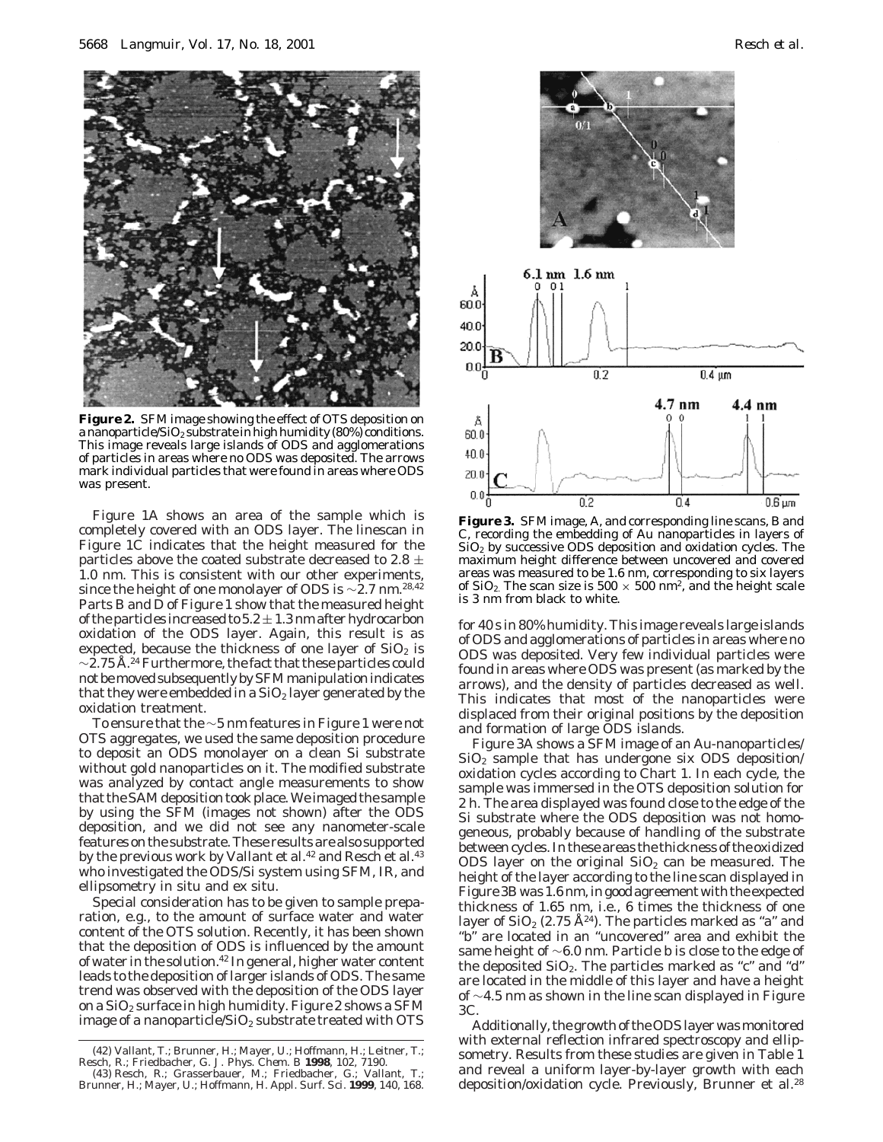

**Figure 2.** SFM image showing the effect of OTS deposition on a nanoparticle/ $SiO_2$  substrate in high humidity (80%) conditions. This image reveals large islands of ODS and agglomerations of particles in areas where no ODS was deposited. The arrows mark individual particles that were found in areas where ODS was present.

Figure 1A shows an area of the sample which is completely covered with an ODS layer. The linescan in Figure 1C indicates that the height measured for the particles above the coated substrate decreased to 2.8  $\pm$ 1.0 nm. This is consistent with our other experiments, since the height of one monolayer of ODS is  $\sim$ 2.7 nm.<sup>28,42</sup> Parts B and D of Figure 1 show that the measured height of the particles increased to  $5.2\pm1.3$  nm after hydrocarbon oxidation of the ODS layer. Again, this result is as expected, because the thickness of one layer of  $SiO<sub>2</sub>$  is  $\sim$ 2.75 Å.<sup>24</sup> Furthermore, the fact that these particles could not be moved subsequently by SFM manipulation indicates that they were embedded in a  $SiO<sub>2</sub>$  layer generated by the oxidation treatment.

To ensure that the  $\sim$ 5 nm features in Figure 1 were not OTS aggregates, we used the same deposition procedure to deposit an ODS monolayer on a clean Si substrate without gold nanoparticles on it. The modified substrate was analyzed by contact angle measurements to show that the SAM deposition took place. We imaged the sample by using the SFM (images not shown) after the ODS deposition, and we did not see any nanometer-scale features on the substrate. These results are also supported by the previous work by Vallant et al.<sup>42</sup> and Resch et al.<sup>43</sup> who investigated the ODS/Si system using SFM, IR, and ellipsometry in situ and ex situ.

Special consideration has to be given to sample preparation, e.g., to the amount of surface water and water content of the OTS solution. Recently, it has been shown that the deposition of ODS is influenced by the amount of water in the solution.42 In general, higher water content leads to the deposition of larger islands of ODS. The same trend was observed with the deposition of the ODS layer on a  $SiO<sub>2</sub>$  surface in high humidity. Figure 2 shows a SFM image of a nanoparticle/ $SiO_2$  substrate treated with OTS



**Figure 3.** SFM image, A, and corresponding line scans, B and C, recording the embedding of Au nanoparticles in layers of  $SiO<sub>2</sub>$  by successive ODS deposition and oxidation cycles. The maximum height difference between uncovered and covered areas was measured to be 1.6 nm, corresponding to six layers of  $SiO_2$ . The scan size is 500  $\times$  500 nm<sup>2</sup>, and the height scale is 3 nm from black to white.

for 40 s in 80% humidity. This image reveals large islands of ODS and agglomerations of particles in areas where no ODS was deposited. Very few individual particles were found in areas where ODS was present (as marked by the arrows), and the density of particles decreased as well. This indicates that most of the nanoparticles were displaced from their original positions by the deposition and formation of large ODS islands.

Figure 3A shows a SFM image of an Au-nanoparticles/  $SiO<sub>2</sub>$  sample that has undergone six ODS deposition/ oxidation cycles according to Chart 1. In each cycle, the sample was immersed in the OTS deposition solution for 2 h. The area displayed was found close to the edge of the Si substrate where the ODS deposition was not homogeneous, probably because of handling of the substrate between cycles. In these areas the thickness of the oxidized ODS layer on the original  $SiO<sub>2</sub>$  can be measured. The height of the layer according to the line scan displayed in Figure 3B was 1.6 nm, in good agreement with the expected thickness of 1.65 nm, i.e., 6 times the thickness of one layer of  $SiO<sub>2</sub>$  (2.75 Å<sup>24</sup>). The particles marked as "a" and "b" are located in an "uncovered" area and exhibit the same height of ∼6.0 nm. Particle b is close to the edge of the deposited  $SiO_2$ . The particles marked as "c" and "d" are located in the middle of this layer and have a height of ∼4.5 nm as shown in the line scan displayed in Figure 3C.

Additionally, the growth of the ODS layer was monitored with external reflection infrared spectroscopy and ellipsometry. Results from these studies are given in Table 1 and reveal a uniform layer-by-layer growth with each deposition/oxidation cycle. Previously, Brunner et al.<sup>28</sup>

<sup>(42)</sup> Vallant, T.; Brunner, H.; Mayer, U.; Hoffmann, H.; Leitner, T.;

Resch, R.; Friedbacher, G. *J. Phys. Chem. B* **1998**, *102,* 7190.<br>(43) Resch, R.; Grasserbauer, M.; Friedbacher, G.; Vallant, T.;<br>Brunner, H.; Mayer, U.; Hoffmann, H. *Appl. Surf. Sci.* **1999**, *140*, 168.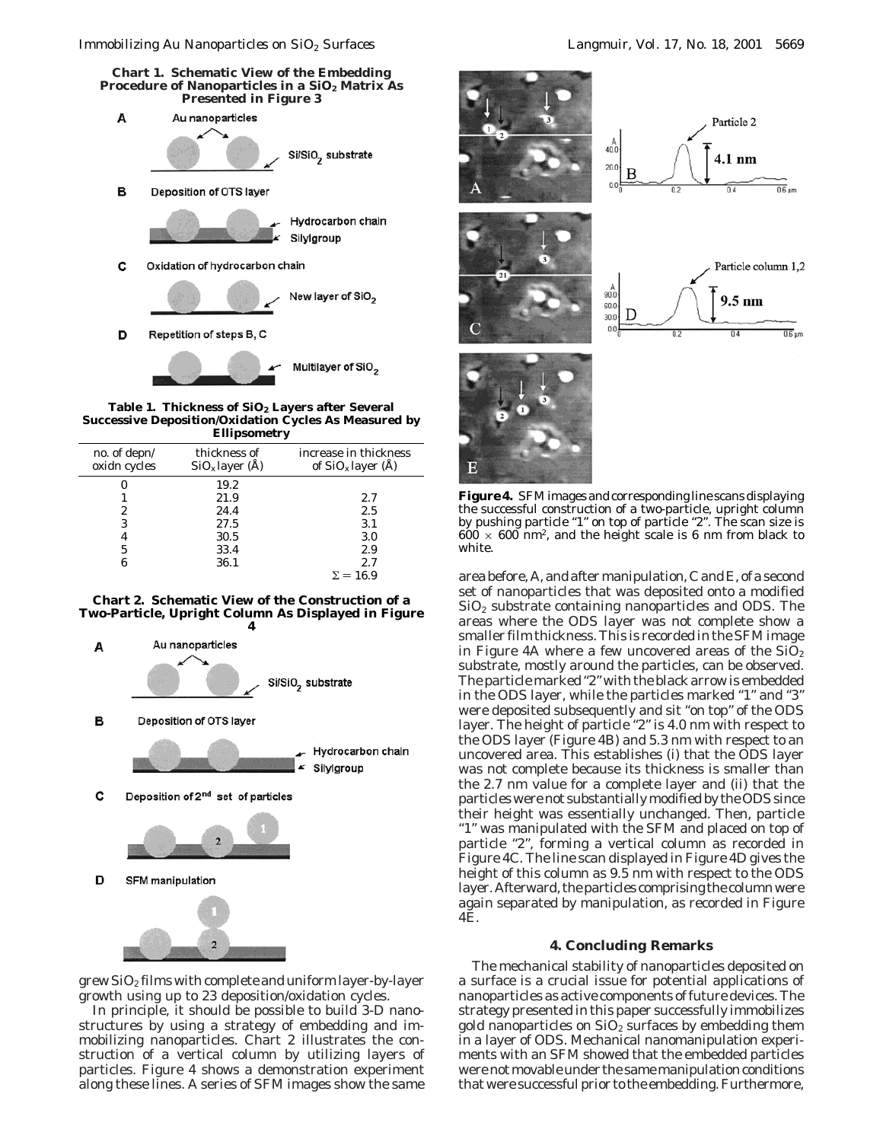**Chart 1. Schematic View of the Embedding** Procedure of Nanoparticles in a SiO<sub>2</sub> Matrix As **Presented in Figure 3**



**Table 1. Thickness of SiO2 Layers after Several Successive Deposition/Oxidation Cycles As Measured by Ellipsometry**

|                              |                                   | ັ                                             |
|------------------------------|-----------------------------------|-----------------------------------------------|
| no. of depn/<br>oxidn cycles | thickness of<br>$SiO_x$ layer (Å) | increase in thickness<br>of $SiO_x$ layer (Å) |
|                              | 19.2                              |                                               |
|                              | 21.9                              | 2.7                                           |
| 2                            | 24.4                              | 2.5                                           |
| 3                            | 27.5                              | 3.1                                           |
| 4                            | 30.5                              | 3.0                                           |
| 5                            | 33.4                              | 2.9                                           |
| 6                            | 36.1                              | 2.7                                           |
|                              |                                   | $\Sigma = 16.9$                               |
|                              |                                   |                                               |

## **Chart 2. Schematic View of the Construction of a Two-Particle, Upright Column As Displayed in Figure**



grew  $SiO<sub>2</sub>$  films with complete and uniform layer-by-layer growth using up to 23 deposition/oxidation cycles.

In principle, it should be possible to build 3-D nanostructures by using a strategy of embedding and immobilizing nanoparticles. Chart 2 illustrates the construction of a vertical column by utilizing layers of particles. Figure 4 shows a demonstration experiment along these lines. A series of SFM images show the same



**Figure 4.** SFM images and corresponding line scans displaying the successful construction of a two-particle, upright column by pushing particle "1" on top of particle "2". The scan size is  $600 \times 600$  nm<sup>2</sup>, and the height scale is 6 nm from black to white.

area before, A, and after manipulation, C and E, of a second set of nanoparticles that was deposited onto a modified  $SiO<sub>2</sub>$  substrate containing nanoparticles and ODS. The areas where the ODS layer was not complete show a smaller film thickness. This is recorded in the SFM image in Figure 4A where a few uncovered areas of the  $SiO<sub>2</sub>$ substrate, mostly around the particles, can be observed. The particle marked "2" with the black arrow is embedded in the ODS layer, while the particles marked "1" and "3" were deposited subsequently and sit "on top" of the ODS layer. The height of particle "2" is 4.0 nm with respect to the ODS layer (Figure 4B) and 5.3 nm with respect to an uncovered area. This establishes (i) that the ODS layer was not complete because its thickness is smaller than the 2.7 nm value for a complete layer and (ii) that the particles were not substantially modified by the ODS since their height was essentially unchanged. Then, particle "1" was manipulated with the SFM and placed on top of particle "2", forming a vertical column as recorded in Figure 4C. The line scan displayed in Figure 4D gives the height of this column as 9.5 nm with respect to the ODS layer. Afterward, the particles comprising the column were again separated by manipulation, as recorded in Figure 4E.

## **4. Concluding Remarks**

The mechanical stability of nanoparticles deposited on a surface is a crucial issue for potential applications of nanoparticles as active components of future devices. The strategy presented in this paper successfully immobilizes gold nanoparticles on  $SiO<sub>2</sub>$  surfaces by embedding them in a layer of ODS. Mechanical nanomanipulation experiments with an SFM showed that the embedded particles were not movable under the same manipulation conditions that were successful prior to the embedding. Furthermore,